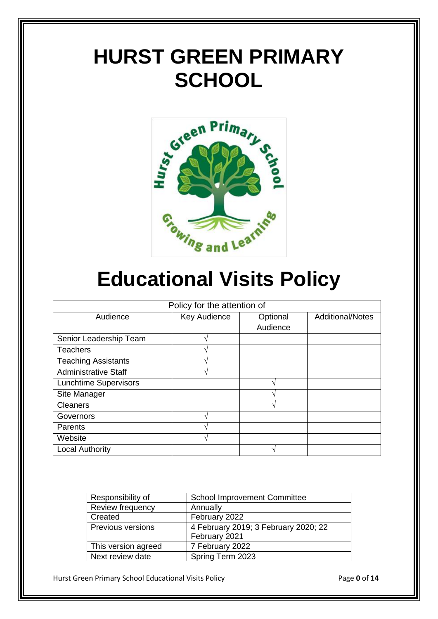# **HURST GREEN PRIMARY SCHOOL**



# **Educational Visits Policy**

| Policy for the attention of  |                          |          |                         |
|------------------------------|--------------------------|----------|-------------------------|
| Audience                     | Key Audience             | Optional | <b>Additional/Notes</b> |
|                              |                          | Audience |                         |
| Senior Leadership Team       | $\overline{\phantom{a}}$ |          |                         |
| <b>Teachers</b>              | $\mathbf \Delta$         |          |                         |
| <b>Teaching Assistants</b>   |                          |          |                         |
| <b>Administrative Staff</b>  |                          |          |                         |
| <b>Lunchtime Supervisors</b> |                          | ٦        |                         |
| Site Manager                 |                          |          |                         |
| <b>Cleaners</b>              |                          | ٦        |                         |
| Governors                    |                          |          |                         |
| Parents                      |                          |          |                         |
| Website                      |                          |          |                         |
| <b>Local Authority</b>       |                          |          |                         |

| Responsibility of   | <b>School Improvement Committee</b>  |
|---------------------|--------------------------------------|
| Review frequency    | Annually                             |
| Created             | February 2022                        |
| Previous versions   | 4 February 2019; 3 February 2020; 22 |
|                     | February 2021                        |
| This version agreed | 7 February 2022                      |
| Next review date    | Spring Term 2023                     |

Hurst Green Primary School Educational Visits Policy Page **0** of **14**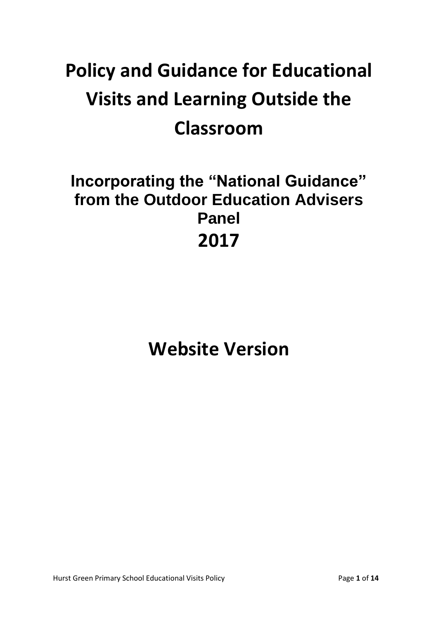# **Policy and Guidance for Educational Visits and Learning Outside the Classroom**

### **Incorporating the "National Guidance" from the Outdoor Education Advisers Panel 2017**

## **Website Version**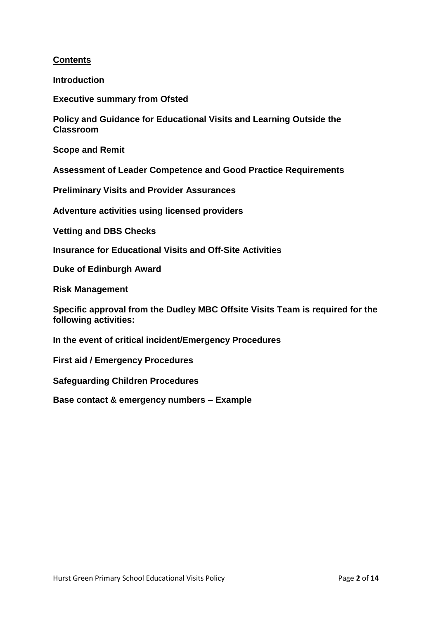#### **Contents**

**Introduction**

**Executive summary from Ofsted**

**Policy and Guidance for Educational Visits and Learning Outside the Classroom** 

**Scope and Remit** 

**Assessment of Leader Competence and Good Practice Requirements** 

**Preliminary Visits and Provider Assurances** 

**Adventure activities using licensed providers**

**Vetting and DBS Checks**

**Insurance for Educational Visits and Off-Site Activities**

**Duke of Edinburgh Award** 

**Risk Management** 

**Specific approval from the Dudley MBC Offsite Visits Team is required for the following activities:** 

**In the event of critical incident/Emergency Procedures**

**First aid / Emergency Procedures**

**Safeguarding Children Procedures**

**Base contact & emergency numbers – Example**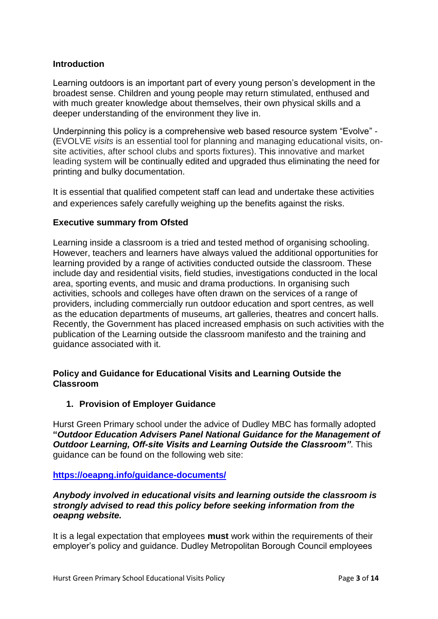#### **Introduction**

Learning outdoors is an important part of every young person's development in the broadest sense. Children and young people may return stimulated, enthused and with much greater knowledge about themselves, their own physical skills and a deeper understanding of the environment they live in.

Underpinning this policy is a comprehensive web based resource system "Evolve" - (EVOLVE *visits* is an essential tool for planning and managing educational visits, onsite activities, after school clubs and sports fixtures). This innovative and market leading system will be continually edited and upgraded thus eliminating the need for printing and bulky documentation.

It is essential that qualified competent staff can lead and undertake these activities and experiences safely carefully weighing up the benefits against the risks.

#### **Executive summary from Ofsted**

Learning inside a classroom is a tried and tested method of organising schooling. However, teachers and learners have always valued the additional opportunities for learning provided by a range of activities conducted outside the classroom. These include day and residential visits, field studies, investigations conducted in the local area, sporting events, and music and drama productions. In organising such activities, schools and colleges have often drawn on the services of a range of providers, including commercially run outdoor education and sport centres, as well as the education departments of museums, art galleries, theatres and concert halls. Recently, the Government has placed increased emphasis on such activities with the publication of the Learning outside the classroom manifesto and the training and guidance associated with it.

#### **Policy and Guidance for Educational Visits and Learning Outside the Classroom**

#### **1. Provision of Employer Guidance**

Hurst Green Primary school under the advice of Dudley MBC has formally adopted **"***Outdoor Education Advisers Panel National Guidance for the Management of Outdoor Learning, Off-site Visits and Learning Outside the Classroom"*. This guidance can be found on the following web site:

#### **https://oeapng.info/guidance-documents/**

#### *Anybody involved in educational visits and learning outside the classroom is strongly advised to read this policy before seeking information from the oeapng website.*

It is a legal expectation that employees **must** work within the requirements of their employer's policy and guidance. Dudley Metropolitan Borough Council employees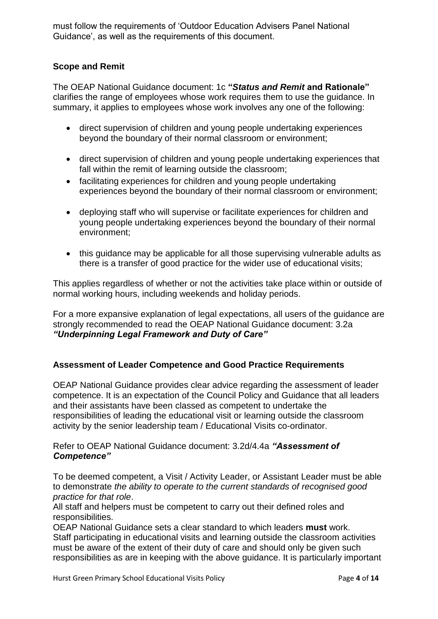must follow the requirements of 'Outdoor Education Advisers Panel National Guidance', as well as the requirements of this document.

#### **Scope and Remit**

The OEAP National Guidance document: 1c **"***Status and Remit* **and Rationale"**  clarifies the range of employees whose work requires them to use the guidance. In summary, it applies to employees whose work involves any one of the following:

- direct supervision of children and young people undertaking experiences beyond the boundary of their normal classroom or environment;
- direct supervision of children and young people undertaking experiences that fall within the remit of learning outside the classroom;
- facilitating experiences for children and young people undertaking experiences beyond the boundary of their normal classroom or environment;
- deploying staff who will supervise or facilitate experiences for children and young people undertaking experiences beyond the boundary of their normal environment;
- this quidance may be applicable for all those supervising vulnerable adults as there is a transfer of good practice for the wider use of educational visits;

This applies regardless of whether or not the activities take place within or outside of normal working hours, including weekends and holiday periods.

For a more expansive explanation of legal expectations, all users of the guidance are strongly recommended to read the OEAP National Guidance document: 3.2a *"Underpinning Legal Framework and Duty of Care"*

#### **Assessment of Leader Competence and Good Practice Requirements**

OEAP National Guidance provides clear advice regarding the assessment of leader competence. It is an expectation of the Council Policy and Guidance that all leaders and their assistants have been classed as competent to undertake the responsibilities of leading the educational visit or learning outside the classroom activity by the senior leadership team / Educational Visits co-ordinator.

#### Refer to OEAP National Guidance document: 3.2d/4.4a *"Assessment of Competence"*

To be deemed competent, a Visit / Activity Leader, or Assistant Leader must be able to demonstrate *the ability to operate to the current standards of recognised good practice for that role*.

All staff and helpers must be competent to carry out their defined roles and responsibilities.

OEAP National Guidance sets a clear standard to which leaders **must** work. Staff participating in educational visits and learning outside the classroom activities must be aware of the extent of their duty of care and should only be given such responsibilities as are in keeping with the above guidance. It is particularly important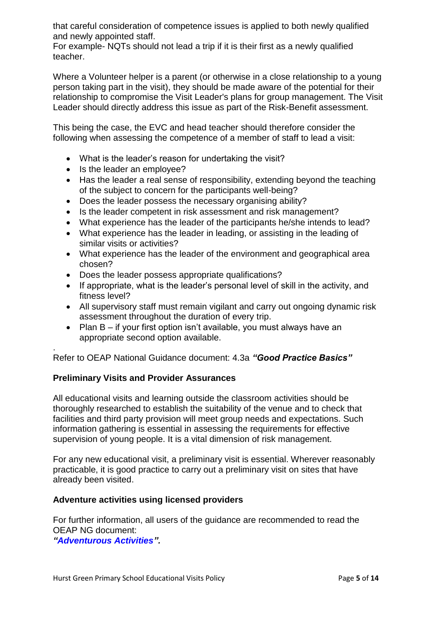that careful consideration of competence issues is applied to both newly qualified and newly appointed staff.

For example- NQTs should not lead a trip if it is their first as a newly qualified teacher.

Where a Volunteer helper is a parent (or otherwise in a close relationship to a young person taking part in the visit), they should be made aware of the potential for their relationship to compromise the Visit Leader's plans for group management. The Visit Leader should directly address this issue as part of the Risk-Benefit assessment.

This being the case, the EVC and head teacher should therefore consider the following when assessing the competence of a member of staff to lead a visit:

- What is the leader's reason for undertaking the visit?
- Is the leader an employee?
- Has the leader a real sense of responsibility, extending beyond the teaching of the subject to concern for the participants well-being?
- Does the leader possess the necessary organising ability?
- Is the leader competent in risk assessment and risk management?
- What experience has the leader of the participants he/she intends to lead?
- What experience has the leader in leading, or assisting in the leading of similar visits or activities?
- What experience has the leader of the environment and geographical area chosen?
- Does the leader possess appropriate qualifications?
- If appropriate, what is the leader's personal level of skill in the activity, and fitness level?
- All supervisory staff must remain vigilant and carry out ongoing dynamic risk assessment throughout the duration of every trip.
- Plan B if your first option isn't available, you must always have an appropriate second option available.

. Refer to OEAP National Guidance document: 4.3a *"Good Practice Basics"* 

#### **Preliminary Visits and Provider Assurances**

All educational visits and learning outside the classroom activities should be thoroughly researched to establish the suitability of the venue and to check that facilities and third party provision will meet group needs and expectations. Such information gathering is essential in assessing the requirements for effective supervision of young people. It is a vital dimension of risk management.

For any new educational visit, a preliminary visit is essential. Wherever reasonably practicable, it is good practice to carry out a preliminary visit on sites that have already been visited.

#### **Adventure activities using licensed providers**

For further information, all users of the guidance are recommended to read the OEAP NG document:

*"Adventurous Activities".*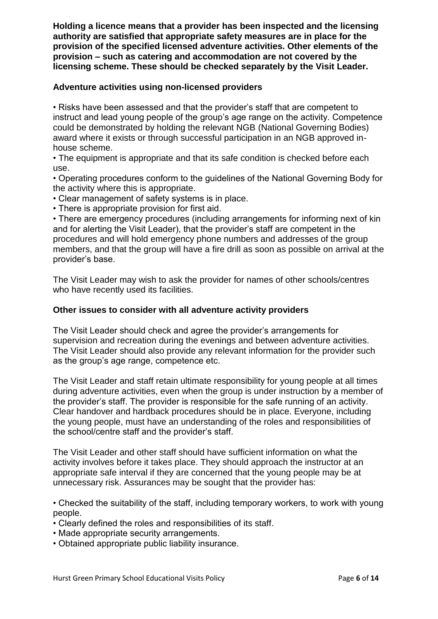**Holding a licence means that a provider has been inspected and the licensing authority are satisfied that appropriate safety measures are in place for the provision of the specified licensed adventure activities. Other elements of the provision – such as catering and accommodation are not covered by the licensing scheme. These should be checked separately by the Visit Leader.**

#### **Adventure activities using non-licensed providers**

• Risks have been assessed and that the provider's staff that are competent to instruct and lead young people of the group's age range on the activity. Competence could be demonstrated by holding the relevant NGB (National Governing Bodies) award where it exists or through successful participation in an NGB approved inhouse scheme.

• The equipment is appropriate and that its safe condition is checked before each use.

• Operating procedures conform to the guidelines of the National Governing Body for the activity where this is appropriate.

• Clear management of safety systems is in place.

• There is appropriate provision for first aid.

• There are emergency procedures (including arrangements for informing next of kin and for alerting the Visit Leader), that the provider's staff are competent in the procedures and will hold emergency phone numbers and addresses of the group members, and that the group will have a fire drill as soon as possible on arrival at the provider's base.

The Visit Leader may wish to ask the provider for names of other schools/centres who have recently used its facilities.

#### **Other issues to consider with all adventure activity providers**

The Visit Leader should check and agree the provider's arrangements for supervision and recreation during the evenings and between adventure activities. The Visit Leader should also provide any relevant information for the provider such as the group's age range, competence etc.

The Visit Leader and staff retain ultimate responsibility for young people at all times during adventure activities, even when the group is under instruction by a member of the provider's staff. The provider is responsible for the safe running of an activity. Clear handover and hardback procedures should be in place. Everyone, including the young people, must have an understanding of the roles and responsibilities of the school/centre staff and the provider's staff.

The Visit Leader and other staff should have sufficient information on what the activity involves before it takes place. They should approach the instructor at an appropriate safe interval if they are concerned that the young people may be at unnecessary risk. Assurances may be sought that the provider has:

• Checked the suitability of the staff, including temporary workers, to work with young people.

- Clearly defined the roles and responsibilities of its staff.
- Made appropriate security arrangements.
- Obtained appropriate public liability insurance.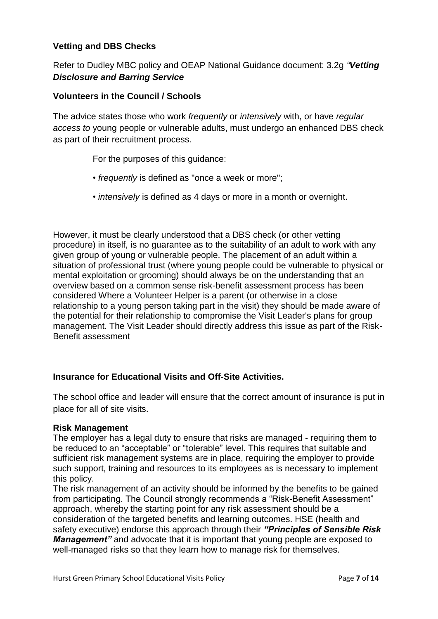#### **Vetting and DBS Checks**

Refer to Dudley MBC policy and OEAP National Guidance document: 3.2g *"Vetting Disclosure and Barring Service*

#### **Volunteers in the Council / Schools**

The advice states those who work *frequently* or *intensively* with, or have *regular access to* young people or vulnerable adults, must undergo an enhanced DBS check as part of their recruitment process.

For the purposes of this guidance:

- *frequently* is defined as "once a week or more";
- *intensively* is defined as 4 days or more in a month or overnight.

However, it must be clearly understood that a DBS check (or other vetting procedure) in itself, is no guarantee as to the suitability of an adult to work with any given group of young or vulnerable people. The placement of an adult within a situation of professional trust (where young people could be vulnerable to physical or mental exploitation or grooming) should always be on the understanding that an overview based on a common sense risk-benefit assessment process has been considered Where a Volunteer Helper is a parent (or otherwise in a close relationship to a young person taking part in the visit) they should be made aware of the potential for their relationship to compromise the Visit Leader's plans for group management. The Visit Leader should directly address this issue as part of the Risk-Benefit assessment

#### **Insurance for Educational Visits and Off-Site Activities.**

The school office and leader will ensure that the correct amount of insurance is put in place for all of site visits.

#### **Risk Management**

The employer has a legal duty to ensure that risks are managed - requiring them to be reduced to an "acceptable" or "tolerable" level. This requires that suitable and sufficient risk management systems are in place, requiring the employer to provide such support, training and resources to its employees as is necessary to implement this policy.

The risk management of an activity should be informed by the benefits to be gained from participating. The Council strongly recommends a "Risk-Benefit Assessment" approach, whereby the starting point for any risk assessment should be a consideration of the targeted benefits and learning outcomes. HSE (health and safety executive) endorse this approach through their *"Principles of Sensible Risk Management"* and advocate that it is important that young people are exposed to well-managed risks so that they learn how to manage risk for themselves.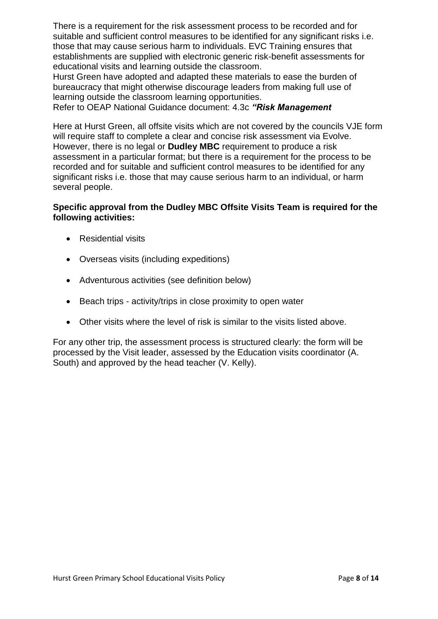There is a requirement for the risk assessment process to be recorded and for suitable and sufficient control measures to be identified for any significant risks i.e. those that may cause serious harm to individuals. EVC Training ensures that establishments are supplied with electronic generic risk-benefit assessments for educational visits and learning outside the classroom.

Hurst Green have adopted and adapted these materials to ease the burden of bureaucracy that might otherwise discourage leaders from making full use of learning outside the classroom learning opportunities.

Refer to OEAP National Guidance document: 4.3c *"Risk Management*

Here at Hurst Green, all offsite visits which are not covered by the councils VJE form will require staff to complete a clear and concise risk assessment via Evolve. However, there is no legal or **Dudley MBC** requirement to produce a risk assessment in a particular format; but there is a requirement for the process to be recorded and for suitable and sufficient control measures to be identified for any significant risks i.e. those that may cause serious harm to an individual, or harm several people.

#### **Specific approval from the Dudley MBC Offsite Visits Team is required for the following activities:**

- Residential visits
- Overseas visits (including expeditions)
- Adventurous activities (see definition below)
- Beach trips activity/trips in close proximity to open water
- Other visits where the level of risk is similar to the visits listed above.

For any other trip, the assessment process is structured clearly: the form will be processed by the Visit leader, assessed by the Education visits coordinator (A. South) and approved by the head teacher (V. Kelly).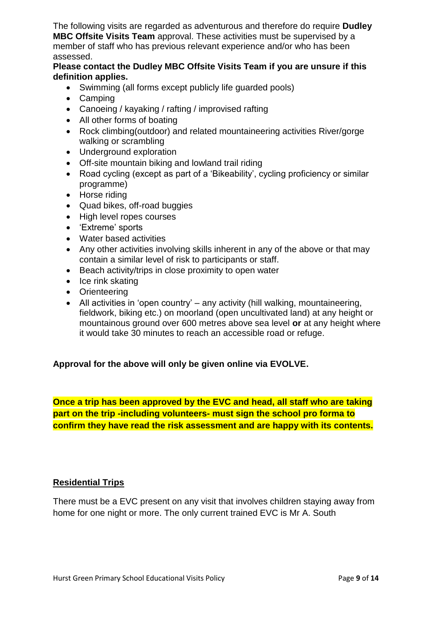The following visits are regarded as adventurous and therefore do require **Dudley MBC Offsite Visits Team** approval. These activities must be supervised by a member of staff who has previous relevant experience and/or who has been assessed.

#### **Please contact the Dudley MBC Offsite Visits Team if you are unsure if this definition applies.**

- Swimming (all forms except publicly life quarded pools)
- Camping
- Canoeing / kayaking / rafting / improvised rafting
- All other forms of boating
- Rock climbing(outdoor) and related mountaineering activities River/gorge walking or scrambling
- Underground exploration
- Off-site mountain biking and lowland trail riding
- Road cycling (except as part of a 'Bikeability', cycling proficiency or similar programme)
- Horse riding
- Quad bikes, off-road buggies
- High level ropes courses
- 'Extreme' sports
- Water based activities
- Any other activities involving skills inherent in any of the above or that may contain a similar level of risk to participants or staff.
- Beach activity/trips in close proximity to open water
- $\bullet$  Ice rink skating
- Orienteering
- All activities in 'open country' any activity (hill walking, mountaineering, fieldwork, biking etc.) on moorland (open uncultivated land) at any height or mountainous ground over 600 metres above sea level **or** at any height where it would take 30 minutes to reach an accessible road or refuge.

#### **Approval for the above will only be given online via EVOLVE.**

**Once a trip has been approved by the EVC and head, all staff who are taking part on the trip -including volunteers- must sign the school pro forma to confirm they have read the risk assessment and are happy with its contents.**

#### **Residential Trips**

There must be a EVC present on any visit that involves children staying away from home for one night or more. The only current trained EVC is Mr A. South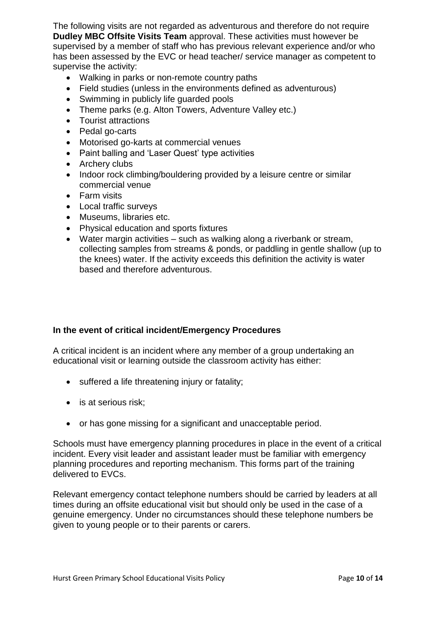The following visits are not regarded as adventurous and therefore do not require **Dudley MBC Offsite Visits Team** approval. These activities must however be supervised by a member of staff who has previous relevant experience and/or who has been assessed by the EVC or head teacher/ service manager as competent to supervise the activity:

- Walking in parks or non-remote country paths
- Field studies (unless in the environments defined as adventurous)
- Swimming in publicly life guarded pools
- Theme parks (e.g. Alton Towers, Adventure Valley etc.)
- Tourist attractions
- Pedal go-carts
- Motorised go-karts at commercial venues
- Paint balling and 'Laser Quest' type activities
- Archery clubs
- Indoor rock climbing/bouldering provided by a leisure centre or similar commercial venue
- Farm visits
- Local traffic surveys
- Museums, libraries etc.
- Physical education and sports fixtures
- Water margin activities such as walking along a riverbank or stream, collecting samples from streams & ponds, or paddling in gentle shallow (up to the knees) water. If the activity exceeds this definition the activity is water based and therefore adventurous.

#### **In the event of critical incident/Emergency Procedures**

A critical incident is an incident where any member of a group undertaking an educational visit or learning outside the classroom activity has either:

- suffered a life threatening injury or fatality;
- is at serious risk;
- or has gone missing for a significant and unacceptable period.

Schools must have emergency planning procedures in place in the event of a critical incident. Every visit leader and assistant leader must be familiar with emergency planning procedures and reporting mechanism. This forms part of the training delivered to EVCs.

Relevant emergency contact telephone numbers should be carried by leaders at all times during an offsite educational visit but should only be used in the case of a genuine emergency. Under no circumstances should these telephone numbers be given to young people or to their parents or carers.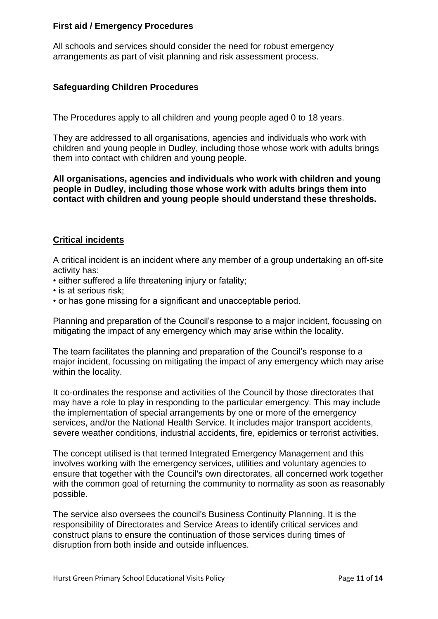#### **First aid / Emergency Procedures**

All schools and services should consider the need for robust emergency arrangements as part of visit planning and risk assessment process.

#### **Safeguarding Children Procedures**

The Procedures apply to all children and young people aged 0 to 18 years.

They are addressed to all organisations, agencies and individuals who work with children and young people in Dudley, including those whose work with adults brings them into contact with children and young people.

**All organisations, agencies and individuals who work with children and young people in Dudley, including those whose work with adults brings them into contact with children and young people should understand these thresholds.**

#### **Critical incidents**

A critical incident is an incident where any member of a group undertaking an off-site activity has:

• either suffered a life threatening injury or fatality;

- is at serious risk;
- or has gone missing for a significant and unacceptable period.

Planning and preparation of the Council's response to a major incident, focussing on mitigating the impact of any emergency which may arise within the locality.

The team facilitates the planning and preparation of the Council's response to a major incident, focussing on mitigating the impact of any emergency which may arise within the locality.

It co-ordinates the response and activities of the Council by those directorates that may have a role to play in responding to the particular emergency. This may include the implementation of special arrangements by one or more of the emergency services, and/or the National Health Service. It includes major transport accidents, severe weather conditions, industrial accidents, fire, epidemics or terrorist activities.

The concept utilised is that termed Integrated Emergency Management and this involves working with the emergency services, utilities and voluntary agencies to ensure that together with the Council's own directorates, all concerned work together with the common goal of returning the community to normality as soon as reasonably possible.

The service also oversees the council's Business Continuity Planning. It is the responsibility of Directorates and Service Areas to identify critical services and construct plans to ensure the continuation of those services during times of disruption from both inside and outside influences.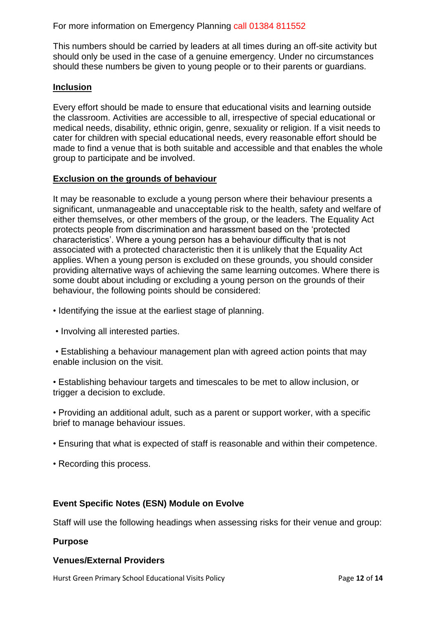For more information on Emergency Planning call 01384 811552

This numbers should be carried by leaders at all times during an off-site activity but should only be used in the case of a genuine emergency. Under no circumstances should these numbers be given to young people or to their parents or guardians.

#### **Inclusion**

Every effort should be made to ensure that educational visits and learning outside the classroom. Activities are accessible to all, irrespective of special educational or medical needs, disability, ethnic origin, genre, sexuality or religion. If a visit needs to cater for children with special educational needs, every reasonable effort should be made to find a venue that is both suitable and accessible and that enables the whole group to participate and be involved.

#### **Exclusion on the grounds of behaviour**

It may be reasonable to exclude a young person where their behaviour presents a significant, unmanageable and unacceptable risk to the health, safety and welfare of either themselves, or other members of the group, or the leaders. The Equality Act protects people from discrimination and harassment based on the 'protected characteristics'. Where a young person has a behaviour difficulty that is not associated with a protected characteristic then it is unlikely that the Equality Act applies. When a young person is excluded on these grounds, you should consider providing alternative ways of achieving the same learning outcomes. Where there is some doubt about including or excluding a young person on the grounds of their behaviour, the following points should be considered:

- Identifying the issue at the earliest stage of planning.
- Involving all interested parties.

• Establishing a behaviour management plan with agreed action points that may enable inclusion on the visit.

• Establishing behaviour targets and timescales to be met to allow inclusion, or trigger a decision to exclude.

• Providing an additional adult, such as a parent or support worker, with a specific brief to manage behaviour issues.

- Ensuring that what is expected of staff is reasonable and within their competence.
- Recording this process.

#### **Event Specific Notes (ESN) Module on Evolve**

Staff will use the following headings when assessing risks for their venue and group:

#### **Purpose**

#### **Venues/External Providers**

Hurst Green Primary School Educational Visits Policy **Page 12 of 14** Page 12 of 14